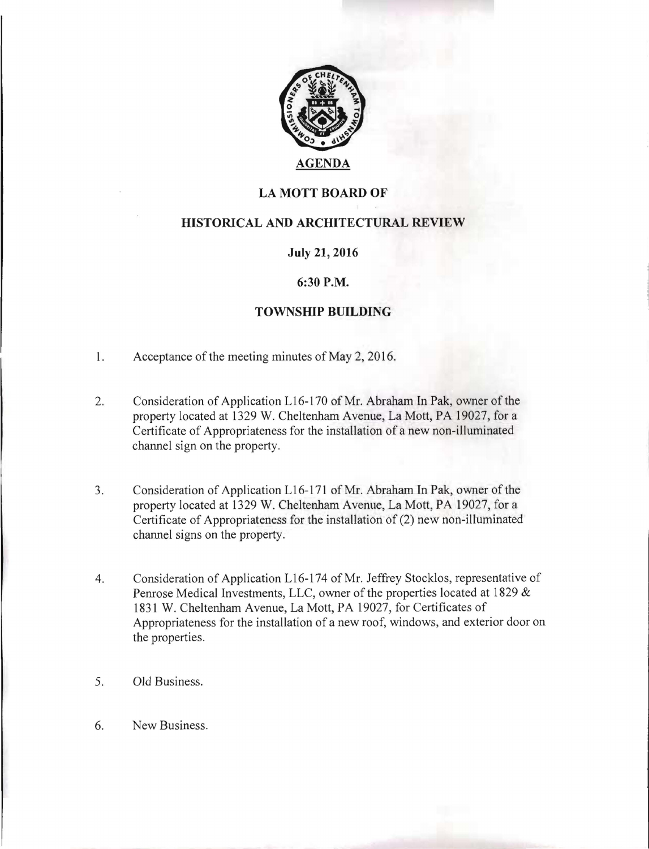

# LA MOTT BOARD OF

## HISTORICAL AND ARCHITECTURAL REVIEW

#### July 21, 2016

### 6:30 P.M.

### TOWNSHIP BUILDING

- 1. Acceptance of the meeting minutes of May 2, 2016.
- 2. Consideration of Application L16-170 of Mr. Abraham In Pak, owner of the property located at 1329 W. Cheltenham Avenue, La Mott, PA 19027, for a Certificate of Appropriateness for the installation of a new non-illuminated channel sign on the property.
- 3. Consideration of Application L16-171 of Mr. Abraham In Pak, owner of the property located at 1329 W. Cheltenham Avenue, La Mott, PA 19027, for a Certificate of Appropriateness for the installation of (2) new non-illuminated channel signs on the property.
- 4. Consideration of Application L16-174 of Mr. Jeffrey Stocklos, representative of Penrose Medical Investments, LLC, owner of the properties located at 1829 & 1831 W. Cheltenham Avenue, La Mott, PA 19027, for Certificates of Appropriateness for the installation of a new roof, windows, and exterior door on the properties.
- 5. Old Business.
- 6. New Business.